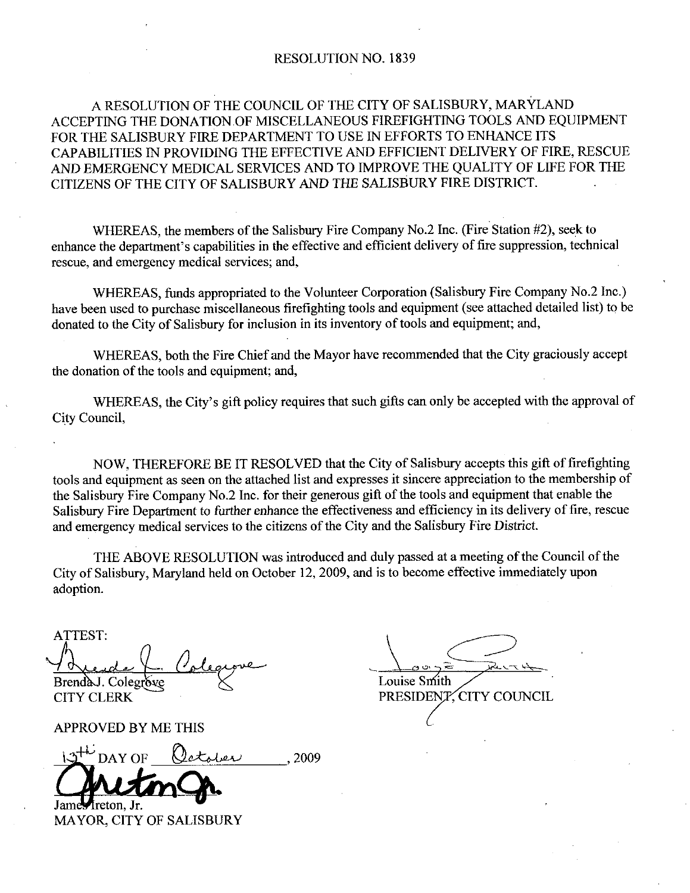#### RESOLUTION NO. 1839

## A RESOLUTION OF THE COUNCIL OF THE CITY OF SALISBURY, MARYLAND ACCEPTING THE DONATION OF MISCELLANEOUS FIREFIGHTING TOOLS AND EQUIPMENT FOR THE SALISBURY FIRE DEPARTMENT TO USE IN EFFORTS TO ENHANCE ITS CAPABILITIES IN PROVIDING THE EFFECTIVE AND EFFICIENT DELIVERY OF FIRE RESCUE AND EMERGENCY MEDICAL SERVICES AND TO IMPROVE THE QUALITY OF LIFE FOR THE CITIZENS OF THE CITY OF SALISBURY AND THE SALISBURY FIRE DISTRICT CAPABILITIES IN PROVIDING THE EFFECTIVE AND EFFICIENT DELIVERY OF FIRE, RESCUTAND EMERGENCY MEDICAL SERVICES AND TO IMPROVE THE QUALITY OF LIFE FOR THE CITIZENS OF THE CITY OF SALISBURY AND THE SALISBURY FIRE DISTRICT.<br>WHE

WHEREAS, the members of the Salisbury Fire Company No.2 Inc. (Fire Station #2), seek to enhance the department's capabilities in the effective and efficient delivery of fire suppression, technical rescue, and emergency medical services; and,

WHEREAS, funds appropriated to the Volunteer Corporation (Salisbury Fire Company No.2 Inc.) have been used to purchase miscellaneous firefighting tools and equipment (see attached detailed list) to be donated to the City of Salisbury for inclusion in its inventory of tools and equipment; and,

WHEREAS, both the Fire Chief and the Mayor have recommended that the City graciously accept the donation of the tools and equipment; and,

WHEREAS, the City's gift policy requires that such gifts can only be accepted with the approval of City Council

NOW, THEREFORE BE IT RESOLVED that the City of Salisbury accepts this gift of firefighting tools and equipment as seen on the attached list and expresses it sincere appreciation to the membership of NOW, THEREFORE BE IT RESOLVED that the City of Salisbury accepts this gift of firefight tools and equipment as seen on the attached list and expresses it sincere appreciation to the membershi the Salisbury Fire Company No. Salisbury Fire Department to further enhance the effectiveness and efficiency in its delivery of fire, rescue and emergency medical services to the citizens of the City and the Salisbury Fire District.

THE ABOVE RESOLUTION was introduced and duly passed at a meeting of the Council of the City of Salisbury, Maryland held on October 12, 2009, and is to become effective immediately upon adoption

ATTEST Brend AJ. Colegr e Louise Smith<br>CITY CLERK PRESIDENT

APPROVED BY ME THIS

Rende (Cologrove<br>
Fendad. Colegrove<br>
ITY CLERK<br>
PPROVED BY ME THIS<br>
19<sup>+1</sup> DAY OF October , 2009

James freton. Jr. MAYOR, CITY OF SALISBURY

PRESIDENT CITY COUNCIL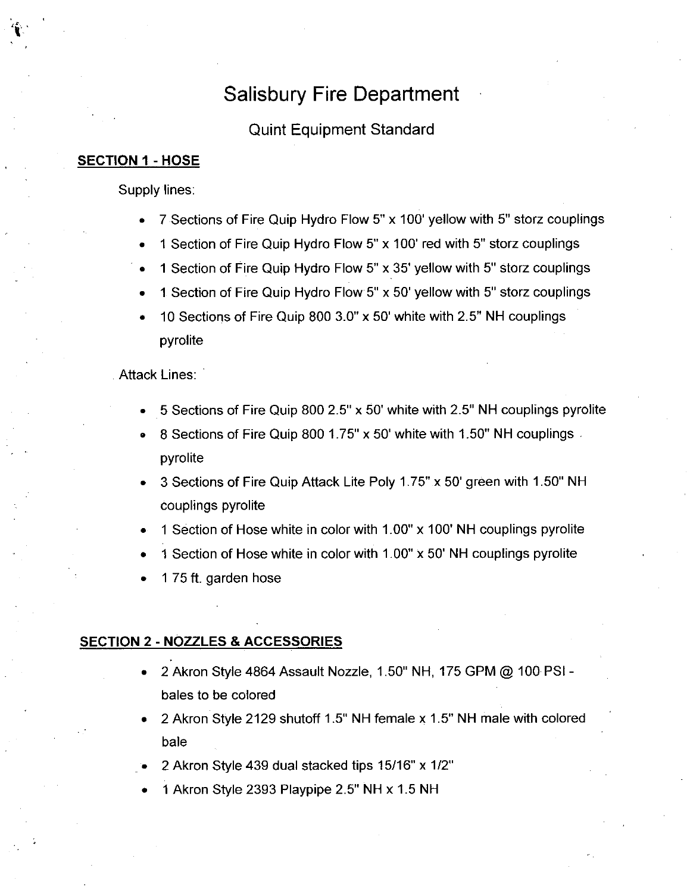### Salisbury Fire Department

#### Quint Equipment Standard

#### **SECTION 1 - HOSE**

k

Supply lines

- 7 Sections of Fire Quip Hydro Flow 5" x 100' yellow with 5" storz couplings
- 1 Section of Fire Quip Hydro Flow 5" x 100' red with 5" storz couplings
- 1 Section of Fire Quip Hydro Flow 5" x 35' yellow with 5" storz couplings
- 1 Section of Fire Quip Hydro Flow 5" x 50' yellow with 5" storz couplings  $\bullet$
- 10 Sections of Fire Quip 800  $3.0$ " x 50' white with 2.5" NH couplings pyrolite

**Attack Lines:** 

- 5 Sections of Fire Quip 800 2.5"  $\times$  50' white with 2.5" NH couplings pyrolite
- 5 Sections of Fire Quip 800 2.5" x 50' white with 2.5" NH couplings p<sub>)</sub><br>8 Sections of Fire Quip 800 1.75" x 50' white with 1.50" NH couplings pyrolite
- 3 Sections of Fire Quip Attack Lite Poly 1.75" x 50' green with 1.50" NH couplings pyrolite
- 1 Section of Hose white in color with 1.00" x 100' NH couplings pyrolite
- 1 Section of Hose white in color with  $1.00" \times 50'$  NH couplings pyrolite
- 175 ft. garden hose

#### SECTION 2 - NOZZLES & ACCESSORIES

- 2 Akron Style 4864 Assault Nozzle, 1.50" NH, 175 GPM @ 100 PSI - $\bullet$ bales to be colored
- 2 Akron Style 2129 shutoff 1.5" NH female x 1.5" NH male with colored bale
- 2 Akron Style 439 dual stacked tips  $15/16$ " x  $1/2$ "
- 1 Akron Style 2393 Playpipe 2.5" NH x 1.5 NH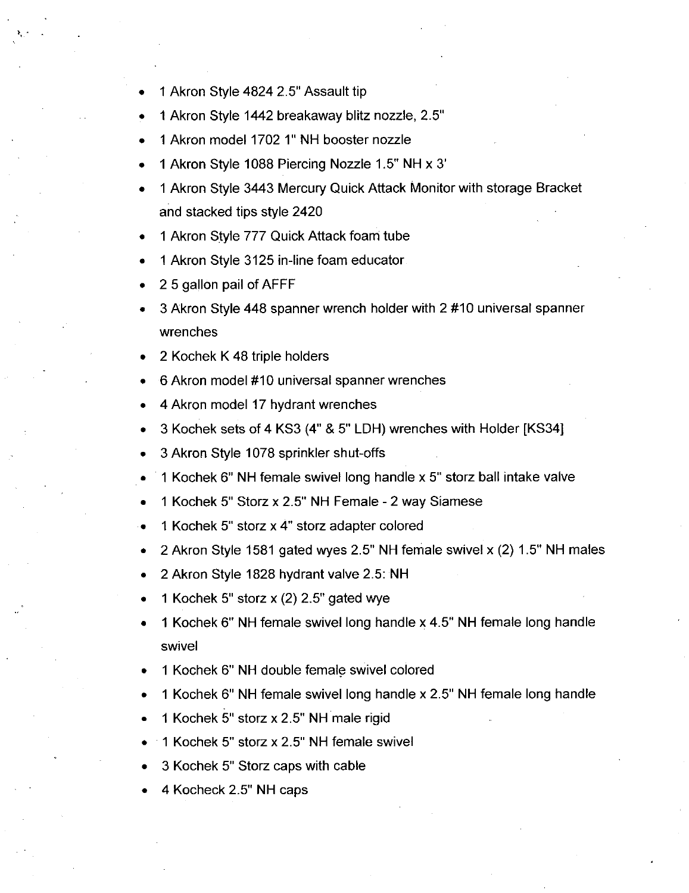- 1 Akron Style 4824 2.5" Assault tip
- 1 Akron Style 1442 breakaway blitz nozzle, 2.5"
- 1 Akron model 1702 1" NH booster nozzle
- 1 Akron Style 1088 Piercing Nozzle 1.5" NH x 3'
- <sup>1</sup> Akron Style 3443 Mercury Quick Attack Monitor with storage Bracket and stacked tips style 2420
- <sup>1</sup> Akron Style 777 Quick Attack foam tube
- 1 Akron Style 3125 in-line foam educator.
- 2 5 gallon pail of AFFF
- 3 Akron Style 448 spanner wrench holder with 2 #10 universal spanner wrenches
- 2 Kochek <sup>K</sup> 48 triple holders
- 6 Akron model #10 universal spanner wrenches
- 4 Akron model 17 hydrant wrenches
- 3 Kochek sets of 4 KS3 (4" & 5" LDH) wrenches with Holder [KS34]
- 3 Akron Style 1078 sprinkler shut-offs
- $1$  Kochek 6" NH female swivel long handle x 5" storz ball intake valve
- 1 Kochek 5" Storz x 2.5" NH Female 2 way Siamese
- 1 Kochek 5" storz x 4" storz adapter colored  $\bullet$
- 2 Akron Style 1581 gated wyes 2.5" NH female swivel x (2) 1.5" NH males  $\bullet$
- 2 Akron Style 1828 hydrant valve 2.5: NH
- 2 Akron Style 1828 hydrant valve 2.5:<br>1 Kochek 5" storz x (2) 2.5" gated wye
- 1 Kochek 6" NH female swivel long handle x 4.5" NH female long handle swivel
- 1 Kochek 6" NH double female swivel colored
- 1 Kochek 6" NH female swivel long handle x 2.5" NH female long handle
- 1 Kochek 5" storz x 2.5" NH male rigid
- 1 Kochek 5" storz x 2.5" NH female swivel
- 3 Kochek 5" Storz caps with cable
- 4 Kocheck 2.5" NH caps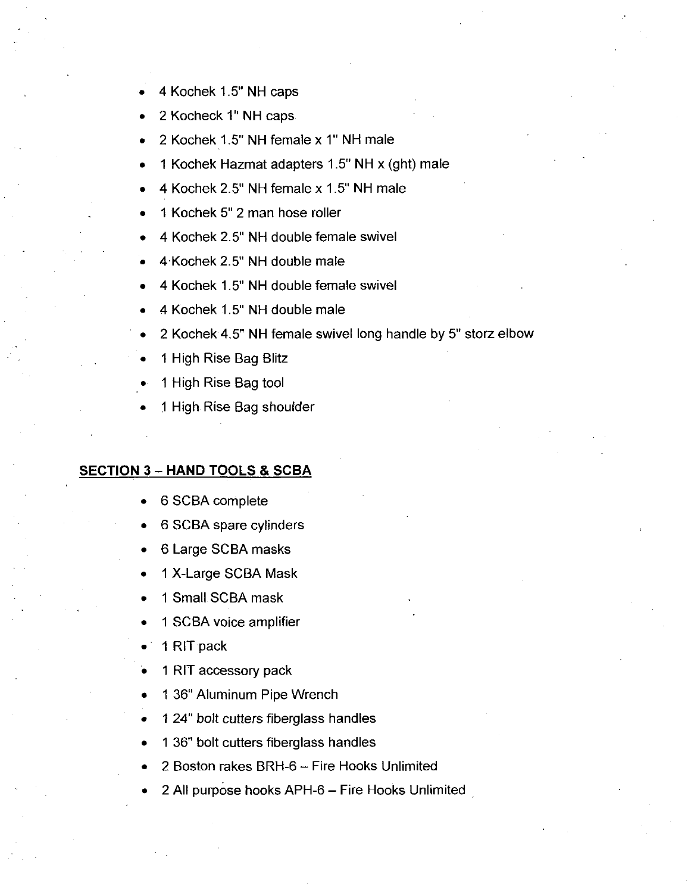- 4 Kochek 1.5" NH caps
- 2 Kocheck 1" NH caps
- 2 Kochek 1.5" NH female x 1" NH male
- 1 Kochek Hazmat adapters  $1.5$ " NH x (ght) male
- 4 Kochek 2.5" NH female x 1.5" NH male
- 1 Kochek 5" 2 man hose roller
- 1 Kochek 5" 2 man hose roller<br>4 Kochek 2.5" NH double female swive
- 4 Kochek 2.5" NH double fema<br>4 Kochek 2.5" NH double male
- 4 Kochek 2.5" NH double male<br>4 Kochek 1.5" NH double female swivel
- 4 Kochek 1.5" NH double male
- 2 Kochek 4.5" NH female swivel long handle by 5" storz elbow
- <sup>1</sup> High Rise Bag Blitz
- <sup>1</sup> High Rise Bag tool
- <sup>1</sup> High Rise Bag shoulder

#### **SECTION 3 - HAND TOOLS & SCBA**

- 6 SCBA complete
- <sup>6</sup> SCBA spare cylinders
- <sup>6</sup> Large SCBA masks
- 1 X-Large SCBA Mask
- <sup>1</sup> Small SCBA mask
- <sup>1</sup> SCBA voice amplifier
- 1 RIT pack
- <sup>1</sup> RIT accessory pack
- 1 36" Aluminum Pipe Wrench
- 1 24" bolt cutters fiberglass handles
- 1 36" bolt cutters fiberglass handles
- 2 Boston rakes BRH-6 Fire Hooks Unlimited
- 2 All purpose hooks APH-6 Fire Hooks Unlimited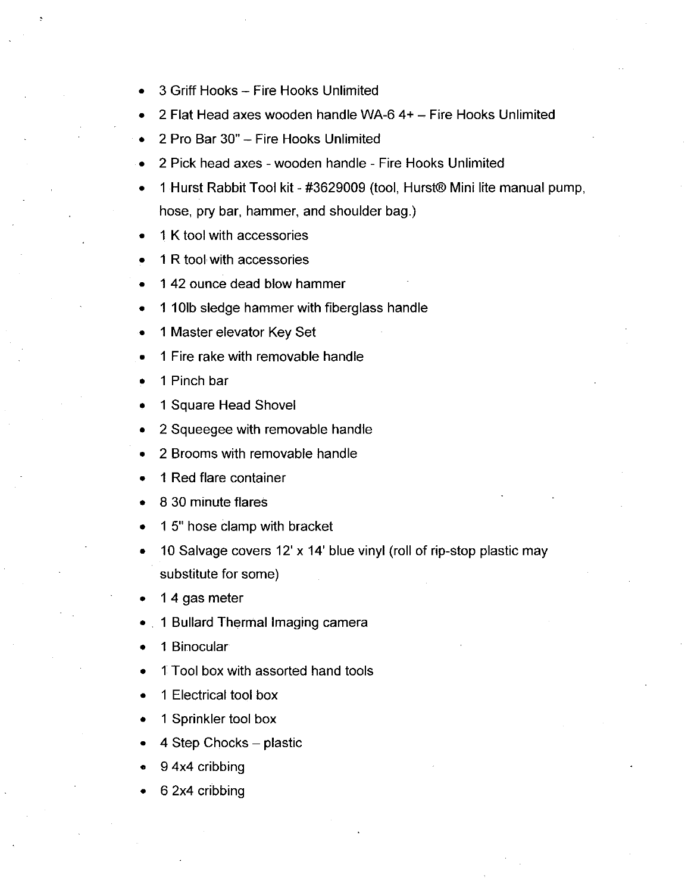- 3 Griff Hooks Fire Hooks Unlimited
- 2 Flat Head axes wooden handle WA-6  $4+$  Fire Hooks Unlimited
- 2 Pro Bar 30" Fire Hooks Unlimited  $\bullet$
- 2 Pick head axes wooden handle Fire Hooks Unlimited
- 1 Hurst Rabbit Tool kit #3629009 (tool, Hurst® Mini lite manual pump, hose, pry bar, hammer, and shoulder bag.)
- K tool with accessories
- R tool with accessories
- 42 ounce dead blow hammer
- 101b sledge hammer with fiberglass handle
- Master elevator Key Set
- Fire rake with removable handle
- Pinch bar
- Square Head Shovel
- Squeegee with removable handle
- Brooms with removable handle
- Red flare container
- 30 minute flares
- 15" hose clamp with bracket
- 10 Salvage covers 12'  $\times$  14' blue vinyl (roll of rip-stop plastic may substitute for some
- 4 gas meter
- 1 Bullard Thermal Imaging camera
- Binocular
- Tool box with assorted hand tools
- Electrical tool box
- Sprinkler tool box
- 4 Step Chocks  $-$  plastic
- 4x4 cribbing
- 2x4 cribbing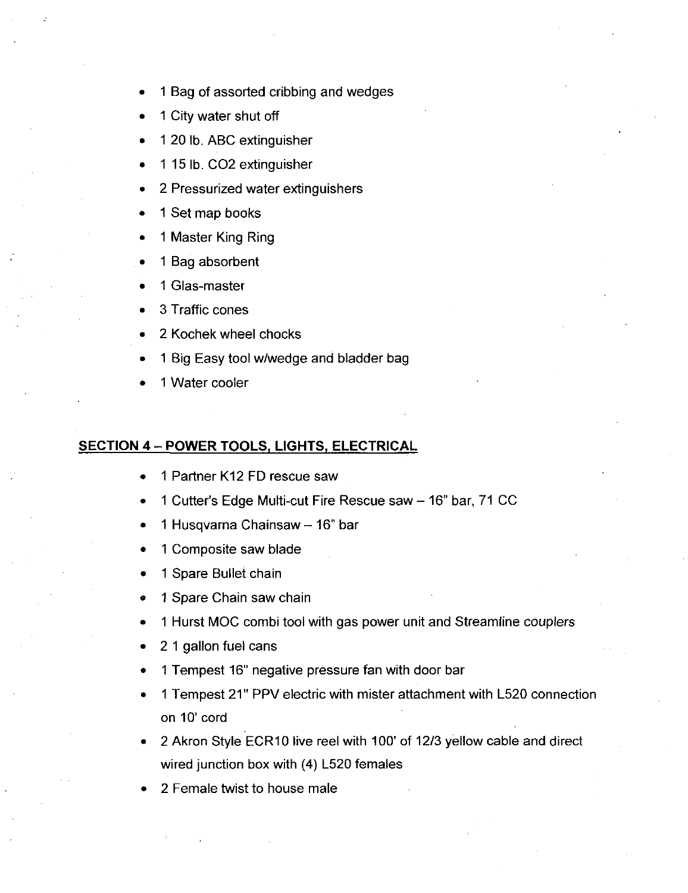- <sup>1</sup> Bag of assorted cribbing and wedges
- <sup>1</sup> City water shut off
- 1 20 lb. ABC extinguisher
- 1 15 lb. CO2 extinguisher
- 2 Pressurized water extinguishers
- <sup>1</sup> Set map books
- <sup>1</sup> Master King Ring
- <sup>1</sup> Bag absorbent
- 1 Glas-master
- 3 Traffic cones
- 2 Kochek wheel chocks
- 1 Big Easy tool w/wedge and bladder bag
- <sup>1</sup> Water cooler

#### SECTION 4 - POWER TOOLS, LIGHTS, ELECTRICAL

- <sup>1</sup> Partner K12 FD rescue saw
- 1 Cutter's Edge Multi-cut Fire Rescue saw 16" bar, 71 CC
- 1 Husqvarna Chainsaw 16" bar
- <sup>1</sup> Composite saw blade
- <sup>1</sup> Spare Bullet chain
- <sup>1</sup> Spare Chain saw chain
- <sup>1</sup> Hurst MOC combi tool with gas power unit and Streamline couplers
- 2 <sup>1</sup> gallon fuel cans
- 1 Tempest 16" negative pressure fan with door bar
- 1 Tempest 21" PPV electric with mister attachment with L520 connection on 10' cord
- on 10' cord<br>2 Akron Style ECR10 live reel with 100' of 12/3 yellow cable and direct wired junction box with  $(4)$  L520 females
- 2 Female twist to house male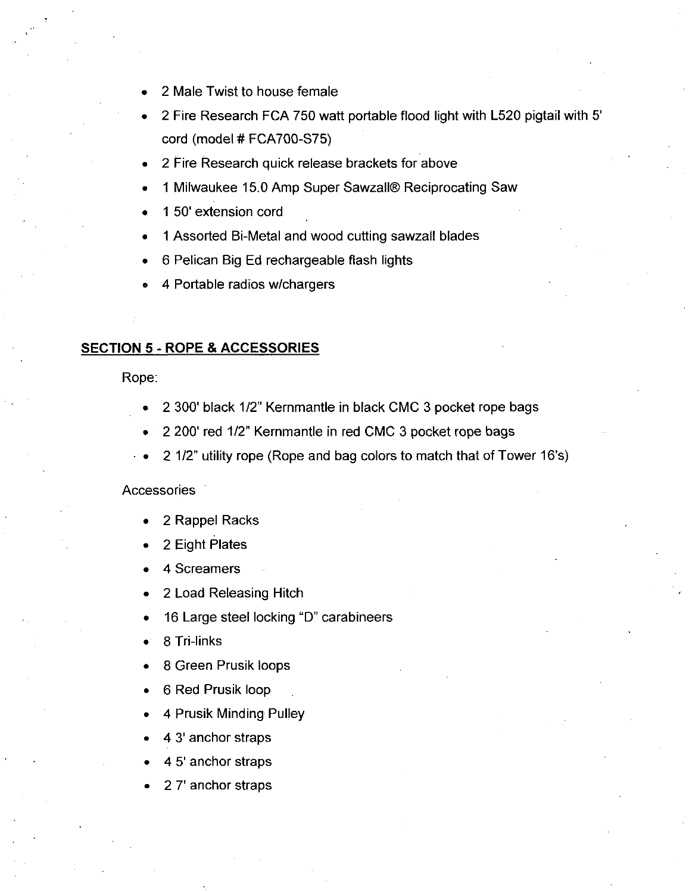- 2 Male Twist to house female
- 2 Fire Research FCA 750 watt portable flood light with L520 pigtail with 5<br>cord (model # FCA700-S75)
- 2 Fire Research quick release brackets for above
- 1 Milwaukee 15.0 Amp Super Sawzall® Reciprocating Saw
- 1 50' extension cord
- 1 Assorted Bi-Metal and wood cutting sawzall blades 1 Assorted Bi-Metal and wood<br>6 Pelican Big Ed rechargeab<br>4 Portable radios w/chargers
- 6 Pelican Big Ed rechargeable flash lights
- 

#### **SECTION 5 - ROPE & ACCESSORIES**

Rope

- 2 300' black 1/2" Kernmantle in black CMC 3 pocket rope bags
- 2 200' red 1/2" Kernmantle in red CMC 3 pocket rope bags
- 2 1/2" utility rope (Rope and bag colors to match that of Tower 16's)

#### **Accessories**

- <sup>2</sup> Rappel Racks
- <sup>2</sup> Eight Plates
- 4 Screamers
- <sup>2</sup> Load Releasing Hitch
- 16 Large steel locking "D" carabineers
- 16 Large :<br>8 Tri-links
- 8 Green Prusik loops
- 6 Red Prusik loop
- 4 Prusik Minding Pulley
- 4 3' anchor straps
- 4 5' anchor straps
- 27' anchor straps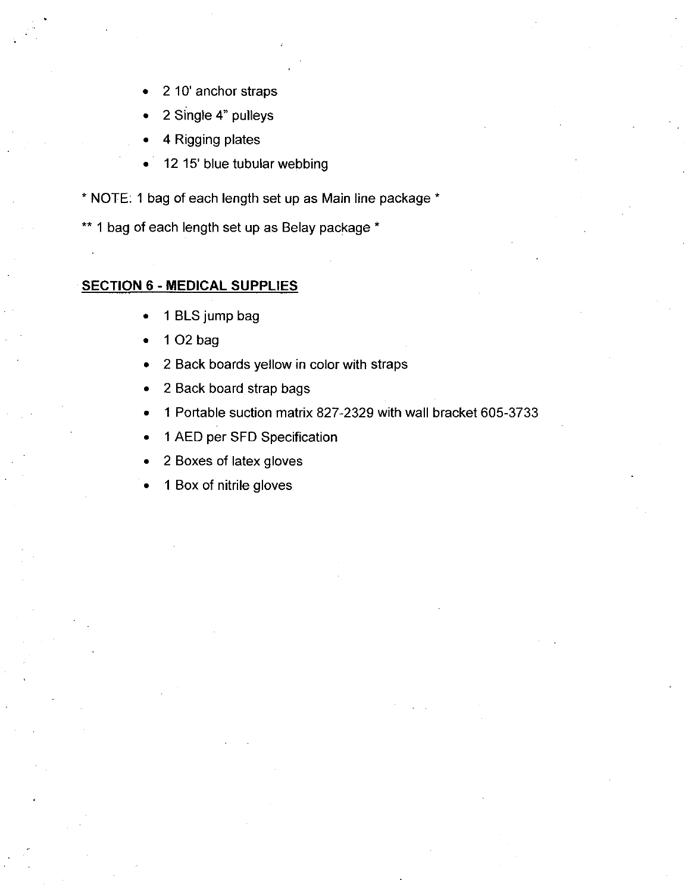- 2 10' anchor straps
- <sup>2</sup> Single 4 pulleys
- 4 Rigging plates
- 12 15' blue tubular webbing
- \* NOTE: 1 bag of each length set up as Main line package \*

\*\* 1 bag of each length set up as Belay package \*

#### **SECTION 6 - MEDICAL SUPPLIES**

- <sup>1</sup> BLS jump bag  $\bullet$
- <sup>1</sup> 02 bag
- <sup>2</sup> Back boards yellow in color with straps  $\bullet$
- 2 Back board strap bags
- <sup>1</sup> Portable suction matrix 827 2329with wall bracket 605 3733
- <sup>1</sup> AED per SFD Specification
- <sup>2</sup> Boxes of latex gloves
- 1 Box of nitrile gloves